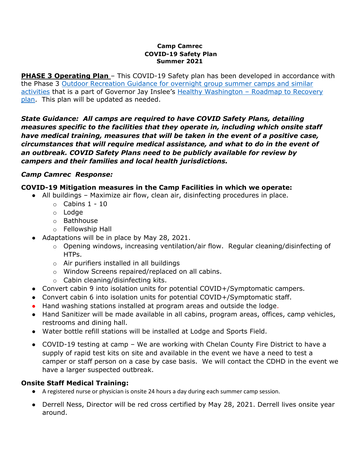#### **Camp Camrec COVID-19 Safety Plan Summer 2021**

**PHASE 3 Operating Plan** – This COVID-19 Safety plan has been developed in accordance with the Phase 3 [Outdoor Recreation Guidance for overnight group summer camps and similar](https://www.governor.wa.gov/sites/default/files/COVID19%20Outdoor%20Recreation%20Guidance.pdf?fbclid=IwAR2KyoKqhLZuLIePVDDFqwC7XITsWeNLagN3TNz4pBc4lxGUWIOLbSl8RNI)  [activities](https://www.governor.wa.gov/sites/default/files/COVID19%20Outdoor%20Recreation%20Guidance.pdf?fbclid=IwAR2KyoKqhLZuLIePVDDFqwC7XITsWeNLagN3TNz4pBc4lxGUWIOLbSl8RNI) that is a part of Governor Jay Inslee's Healthy Washington - Roadmap to Recovery [plan.](https://www.governor.wa.gov/sites/default/files/HealthyWashington.pdf) This plan will be updated as needed.

*State Guidance: All camps are required to have COVID Safety Plans, detailing measures specific to the facilities that they operate in, including which onsite staff have medical training, measures that will be taken in the event of a positive case, circumstances that will require medical assistance, and what to do in the event of an outbreak. COVID Safety Plans need to be publicly available for review by campers and their families and local health jurisdictions.*

## *Camp Camrec Response:*

## **COVID-19 Mitigation measures in the Camp Facilities in which we operate:**

- All buildings Maximize air flow, clean air, disinfecting procedures in place.
	- $\circ$  Cabins 1 10
	- o Lodge
	- o Bathhouse
	- o Fellowship Hall
- Adaptations will be in place by May 28, 2021.
	- o Opening windows, increasing ventilation/air flow. Regular cleaning/disinfecting of HTPs.
	- o Air purifiers installed in all buildings
	- o Window Screens repaired/replaced on all cabins.
	- o Cabin cleaning/disinfecting kits.
- Convert cabin 9 into isolation units for potential COVID+/Symptomatic campers.
- Convert cabin 6 into isolation units for potential COVID+/Symptomatic staff.
- Hand washing stations installed at program areas and outside the lodge.
- Hand Sanitizer will be made available in all cabins, program areas, offices, camp vehicles, restrooms and dining hall.
- Water bottle refill stations will be installed at Lodge and Sports Field.
- COVID-19 testing at camp We are working with Chelan County Fire District to have a supply of rapid test kits on site and available in the event we have a need to test a camper or staff person on a case by case basis. We will contact the CDHD in the event we have a larger suspected outbreak.

## **Onsite Staff Medical Training:**

- A registered nurse or physician is onsite 24 hours a day during each summer camp session.
- Derrell Ness, Director will be red cross certified by May 28, 2021. Derrell lives onsite year around.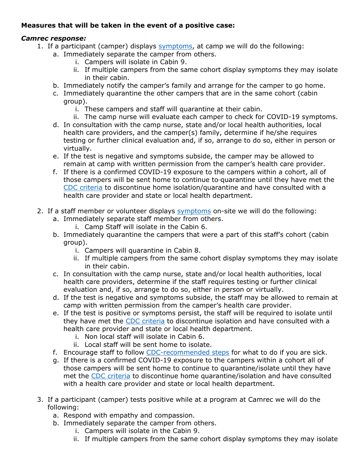# **Measures that will be taken in the event of a positive case:**

## *Camrec response:*

- 1. If a participant (camper) displays [symptoms,](https://www.cdc.gov/coronavirus/2019-ncov/symptoms-testing/symptoms.html) at camp we will do the following:
	- a. Immediately separate the camper from others.
		- i. Campers will isolate in Cabin 9.
		- ii. If multiple campers from the same cohort display symptoms they may isolate in their cabin.
	- b. Immediately notify the camper's family and arrange for the camper to go home.
	- c. Immediately quarantine the other campers that are in the same cohort (cabin group).
		- i. These campers and staff will quarantine at their cabin.
		- ii. The camp nurse will evaluate each camper to check for COVID-19 symptoms.
	- d. In consultation with the camp nurse, state and/or local health authorities, local health care providers, and the camper(s) family, determine if he/she requires testing or further clinical evaluation and, if so, arrange to do so, either in person or virtually.
	- e. If the test is negative and symptoms subside, the camper may be allowed to remain at camp with written permission from the camper's health care provider.
	- f. If there is a confirmed COVID-19 exposure to the campers within a cohort, all of those campers will be sent home to continue to quarantine until they have met the [CDC criteria](https://www.cdc.gov/coronavirus/2019-ncov/hcp/disposition-in-home-patients.html) to discontinue home isolation/quarantine and have consulted with a health care provider and state or local health department.
- 2. If a staff member or volunteer displays [symptoms](https://www.cdc.gov/coronavirus/2019-ncov/symptoms-testing/symptoms.html) on-site we will do the following:
	- a. Immediately separate staff member from others.
		- i. Camp Staff will isolate in the Cabin 6.
	- b. Immediately quarantine the campers that were a part of this staff's cohort (cabin group).
		- i. Campers will quarantine in Cabin 8.
		- ii. If multiple campers from the same cohort display symptoms they may isolate in their cabin.
	- c. In consultation with the camp nurse, state and/or local health authorities, local health care providers, determine if the staff requires testing or further clinical evaluation and, if so, arrange to do so, either in person or virtually.
	- d. If the test is negative and symptoms subside, the staff may be allowed to remain at camp with written permission from the camper's health care provider.
	- e. If the test is positive or symptoms persist, the staff will be required to isolate until they have met the [CDC criteria](https://www.cdc.gov/coronavirus/2019-ncov/hcp/disposition-in-home-patients.html) to discontinue isolation and have consulted with a health care provider and state or local health department.
		- i. Non local staff will isolate in Cabin 6.
		- ii. Local staff will be sent home to isolate.
	- f. Encourage staff to follow [CDC-recommended steps](https://www.cdc.gov/coronavirus/2019-ncov/if-you-are-sick/steps-when-sick.html) for what to do if you are sick.
	- g. If there is a confirmed COVID-19 exposure to the campers within a cohort all of those campers will be sent home to continue to quarantine/isolate until they have met the [CDC criteria](https://www.cdc.gov/coronavirus/2019-ncov/hcp/disposition-in-home-patients.html) to discontinue home quarantine/isolation and have consulted with a health care provider and state or local health department.
- 3. If a participant (camper) tests positive while at a program at Camrec we will do the following:
	- a. Respond with empathy and compassion.
	- b. Immediately separate the camper from others.
		- i. Campers will isolate in the Cabin 9.
		- ii. If multiple campers from the same cohort display symptoms they may isolate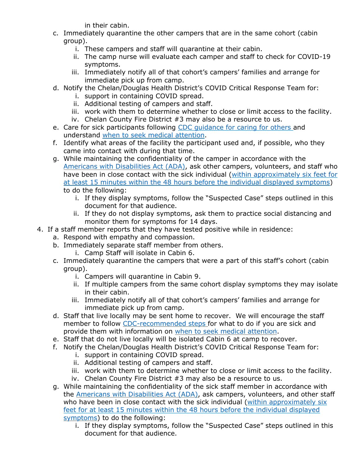in their cabin.

- c. Immediately quarantine the other campers that are in the same cohort (cabin group).
	- i. These campers and staff will quarantine at their cabin.
	- ii. The camp nurse will evaluate each camper and staff to check for COVID-19 symptoms.
	- iii. Immediately notify all of that cohort's campers' families and arrange for immediate pick up from camp.
- d. Notify the Chelan/Douglas Health District's COVID Critical Response Team for:
	- i. support in containing COVID spread.
	- ii. Additional testing of campers and staff.
	- iii. work with them to determine whether to close or limit access to the facility.
	- iv. Chelan County Fire District #3 may also be a resource to us.
- e. Care for sick participants following CDC quidance for caring for others and understand [when to seek medical attention.](https://www.cdc.gov/coronavirus/2019-ncov/symptoms-testing/symptoms.html?CDC_AA_refVal=https%3A%2F%2Fwww.cdc.gov%2Fcoronavirus%2F2019-ncov%2Fabout%2Fsymptoms.html)
- f. Identify what areas of the facility the participant used and, if possible, who they came into contact with during that time.
- g. While maintaining the confidentiality of the camper in accordance with the [Americans with Disabilities Act \(ADA\),](https://www.eeoc.gov/facts/pandemic_flu.html) ask other campers, volunteers, and staff who have been in close contact with the sick individual (within approximately six feet for [at least 15 minutes within the 48 hours before the individual displayed symptoms\)](https://www.cdc.gov/coronavirus/2019-ncov/php/principles-contact-tracing.html) to do the following:
	- i. If they display symptoms, follow the "Suspected Case" steps outlined in this document for that audience.
	- ii. If they do not display symptoms, ask them to practice social distancing and monitor them for symptoms for 14 days.
- 4. If a staff member reports that they have tested positive while in residence:
	- a. Respond with empathy and compassion.
	- b. Immediately separate staff member from others.
		- i. Camp Staff will isolate in Cabin 6.
	- c. Immediately quarantine the campers that were a part of this staff's cohort (cabin group).
		- i. Campers will quarantine in Cabin 9.
		- ii. If multiple campers from the same cohort display symptoms they may isolate in their cabin.
		- iii. Immediately notify all of that cohort's campers' families and arrange for immediate pick up from camp.
	- d. Staff that live locally may be sent home to recover. We will encourage the staff member to follow [CDC-recommended steps](https://www.cdc.gov/coronavirus/2019-ncov/if-you-are-sick/steps-when-sick.html) for what to do if you are sick and provide them with information on [when to seek medical attention.](https://www.cdc.gov/coronavirus/2019-ncov/symptoms-testing/symptoms.html?CDC_AA_refVal=https%3A%2F%2Fwww.cdc.gov%2Fcoronavirus%2F2019-ncov%2Fabout%2Fsymptoms.html)
	- e. Staff that do not live locally will be isolated Cabin 6 at camp to recover.
	- f. Notify the Chelan/Douglas Health District's COVID Critical Response Team for: i. support in containing COVID spread.
		- ii. Additional testing of campers and staff.
		- iii. work with them to determine whether to close or limit access to the facility. iv. Chelan County Fire District #3 may also be a resource to us.
	- g. While maintaining the confidentiality of the sick staff member in accordance with the [Americans with Disabilities Act \(ADA\),](https://www.eeoc.gov/facts/pandemic_flu.html) ask campers, volunteers, and other staff who have been in close contact with the sick individual (within approximately six [feet for at least 15 minutes within the 48 hours before the individual displayed](https://www.cdc.gov/coronavirus/2019-ncov/php/principles-contact-tracing.html)  [symptoms\)](https://www.cdc.gov/coronavirus/2019-ncov/php/principles-contact-tracing.html) to do the following:
		- i. If they display symptoms, follow the "Suspected Case" steps outlined in this document for that audience.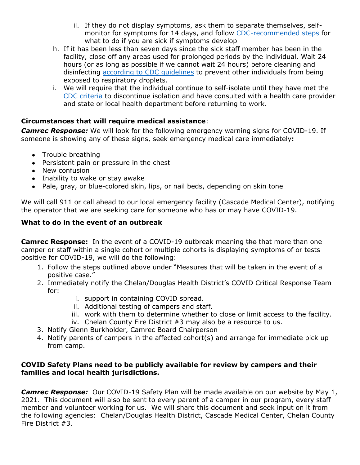- ii. If they do not display symptoms, ask them to separate themselves, selfmonitor for symptoms for 14 days, and follow [CDC-recommended steps](https://www.cdc.gov/coronavirus/2019-ncov/if-you-are-sick/steps-when-sick.html) for what to do if you are sick if symptoms develop
- h. If it has been less than seven days since the sick staff member has been in the facility, close off any areas used for prolonged periods by the individual. Wait 24 hours (or as long as possible if we cannot wait 24 hours) before cleaning and disinfecting [according to CDC guidelines](https://www.cdc.gov/coronavirus/2019-ncov/community/organizations/cleaning-disinfection.html) to prevent other individuals from being exposed to respiratory droplets.
- i. We will require that the individual continue to self-isolate until they have met the [CDC criteria](https://www.cdc.gov/coronavirus/2019-ncov/hcp/disposition-in-home-patients.html) to discontinue isolation and have consulted with a health care provider and state or local health department before returning to work.

## **Circumstances that will require medical assistance**:

*Camrec Response:* We will look for the following emergency warning signs for COVID-19. If someone is showing any of these signs, seek emergency medical care immediately**:**

- Trouble breathing
- Persistent pain or pressure in the chest
- New confusion
- Inability to wake or stay awake
- Pale, gray, or blue-colored skin, lips, or nail beds, depending on skin tone

We will call 911 or call ahead to our local emergency facility (Cascade Medical Center), notifying the operator that we are seeking care for someone who has or may have COVID-19.

## **What to do in the event of an outbreak**

**Camrec Response:** In the event of a COVID-19 outbreak meaning the that more than one camper or staff within a single cohort or multiple cohorts is displaying symptoms of or tests positive for COVID-19, we will do the following:

- 1. Follow the steps outlined above under "Measures that will be taken in the event of a positive case."
- 2. Immediately notify the Chelan/Douglas Health District's COVID Critical Response Team for:
	- i. support in containing COVID spread.
	- ii. Additional testing of campers and staff.
	- iii. work with them to determine whether to close or limit access to the facility.
	- iv. Chelan County Fire District #3 may also be a resource to us.
- 3. Notify Glenn Burkholder, Camrec Board Chairperson
- 4. Notify parents of campers in the affected cohort(s) and arrange for immediate pick up from camp.

#### **COVID Safety Plans need to be publicly available for review by campers and their families and local health jurisdictions.**

**Camrec Response:** Our COVID-19 Safety Plan will be made available on our website by May 1, 2021. This document will also be sent to every parent of a camper in our program, every staff member and volunteer working for us. We will share this document and seek input on it from the following agencies: Chelan/Douglas Health District, Cascade Medical Center, Chelan County Fire District #3.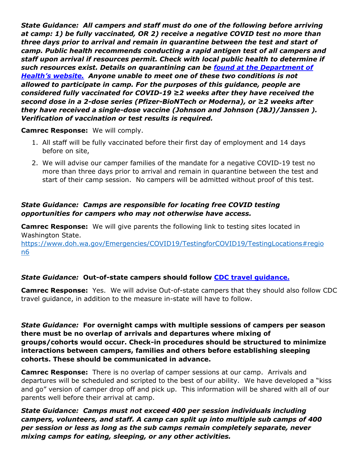*State Guidance: All campers and staff must do one of the following before arriving at camp: 1) be fully vaccinated, OR 2) receive a negative COVID test no more than three days prior to arrival and remain in quarantine between the test and start of camp. Public health recommends conducting a rapid antigen test of all campers and staff upon arrival if resources permit. Check with local public health to determine if such resources exist. Details on quarantining can be [found at the Department of](https://www.doh.wa.gov/Emergencies/COVID19/CaseInvestigationsandContactTracing/IsolationandQuarantineforCOVID19)  Health's [website.](https://www.doh.wa.gov/Emergencies/COVID19/CaseInvestigationsandContactTracing/IsolationandQuarantineforCOVID19) [Anyone unable to meet one of these two conditions is not](https://www.doh.wa.gov/Emergencies/COVID19/CaseInvestigationsandContactTracing/IsolationandQuarantineforCOVID19)  [allowed to participate in camp. For the purposes of this guidance, people are](https://www.doh.wa.gov/Emergencies/COVID19/CaseInvestigationsandContactTracing/IsolationandQuarantineforCOVID19)  considered fully vaccinated for COVID-[19 ≥2 weeks after they have received the](https://www.doh.wa.gov/Emergencies/COVID19/CaseInvestigationsandContactTracing/IsolationandQuarantineforCOVID19)  second dose in a 2-dose series (Pfizer-[BioNTech or Moderna\), or ≥2 weeks after](https://www.doh.wa.gov/Emergencies/COVID19/CaseInvestigationsandContactTracing/IsolationandQuarantineforCOVID19)  [they have received a single-dose vaccine \(Johnson and Johnson \(J&J\)/Janssen \).](https://www.doh.wa.gov/Emergencies/COVID19/CaseInvestigationsandContactTracing/IsolationandQuarantineforCOVID19)  [Verification of vaccination or test results is required.](https://www.doh.wa.gov/Emergencies/COVID19/CaseInvestigationsandContactTracing/IsolationandQuarantineforCOVID19)*

#### **Camrec Response:** We will comply.

- 1. All staff will be fully vaccinated before their first day of employment and 14 days before on site,
- 2. We will advise our camper families of the mandate for a negative COVID-19 test no more than three days prior to arrival and remain in quarantine between the test and start of their camp session. No campers will be admitted without proof of this test.

### *State Guidance: Camps are responsible for locating free COVID testing opportunities for campers who may not otherwise have access.*

**Camrec Response:** We will give parents the following link to testing sites located in Washington State.

[https://www.doh.wa.gov/Emergencies/COVID19/TestingforCOVID19/TestingLocations#regio](https://www.doh.wa.gov/Emergencies/COVID19/TestingforCOVID19/TestingLocations#region6) [n6](https://www.doh.wa.gov/Emergencies/COVID19/TestingforCOVID19/TestingLocations#region6)

## *State Guidance:* **Out-of-state campers should follow [CDC travel guidance.](https://www.cdc.gov/coronavirus/2019-ncov/travelers/travel-during-covid19.html)**

**Camrec Response:** Yes. We will advise Out-of-state campers that they should also follow CDC travel guidance, in addition to the measure in-state will have to follow.

*State Guidance:* **For overnight camps with multiple sessions of campers per season there must be no overlap of arrivals and departures where mixing of groups/cohorts would occur. Check-in procedures should be structured to minimize interactions between campers, families and others before establishing sleeping cohorts. These should be communicated in advance.**

**Camrec Response:** There is no overlap of camper sessions at our camp. Arrivals and departures will be scheduled and scripted to the best of our ability. We have developed a "kiss and go" version of camper drop off and pick up. This information will be shared with all of our parents well before their arrival at camp.

*State Guidance: Camps must not exceed 400 per session individuals including campers, volunteers, and staff. A camp can split up into multiple sub camps of 400 per session or less as long as the sub camps remain completely separate, never mixing camps for eating, sleeping, or any other activities.*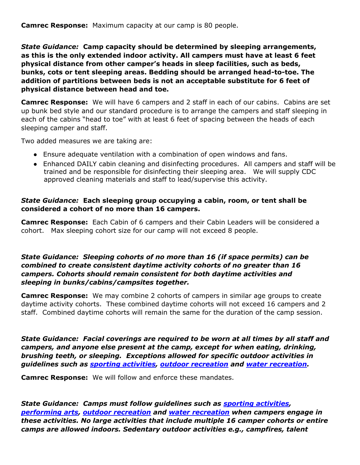**Camrec Response:** Maximum capacity at our camp is 80 people.

*State Guidance:* **Camp capacity should be determined by sleeping arrangements, as this is the only extended indoor activity. All campers must have at least 6 feet physical distance from other camper's heads in sleep facilities, such as beds, bunks, cots or tent sleeping areas. Bedding should be arranged head-to-toe. The addition of partitions between beds is not an acceptable substitute for 6 feet of physical distance between head and toe.**

**Camrec Response:** We will have 6 campers and 2 staff in each of our cabins. Cabins are set up bunk bed style and our standard procedure is to arrange the campers and staff sleeping in each of the cabins "head to toe" with at least 6 feet of spacing between the heads of each sleeping camper and staff.

Two added measures we are taking are:

- Ensure adequate ventilation with a combination of open windows and fans.
- Enhanced DAILY cabin cleaning and disinfecting procedures. All campers and staff will be trained and be responsible for disinfecting their sleeping area. We will supply CDC approved cleaning materials and staff to lead/supervise this activity.

#### *State Guidance:* **Each sleeping group occupying a cabin, room, or tent shall be considered a cohort of no more than 16 campers.**

**Camrec Response:** Each Cabin of 6 campers and their Cabin Leaders will be considered a cohort. Max sleeping cohort size for our camp will not exceed 8 people.

#### *State Guidance: Sleeping cohorts of no more than 16 (if space permits) can be combined to create consistent daytime activity cohorts of no greater than 16 campers. Cohorts should remain consistent for both daytime activities and sleeping in bunks/cabins/campsites together.*

**Camrec Response:** We may combine 2 cohorts of campers in similar age groups to create daytime activity cohorts. These combined daytime cohorts will not exceed 16 campers and 2 staff. Combined daytime cohorts will remain the same for the duration of the camp session.

*State Guidance: Facial coverings are required to be worn at all times by all staff and campers, and anyone else present at the camp, except for when eating, drinking, brushing teeth, or sleeping. Exceptions allowed for specific outdoor activities in guidelines such as [sporting activities,](https://www.governor.wa.gov/sites/default/files/COVID19%20Sporting%20Activities%20Guidance.pdf) [outdoor recreation](https://www.governor.wa.gov/sites/default/files/COVID19%20Outdoor%20Recreation%20Guidance.pdf) and [water recreation.](https://www.governor.wa.gov/sites/default/files/COVID19%20Water%20Recreation%20Guidance.pdf)*

**Camrec Response:** We will follow and enforce these mandates.

*State Guidance: Camps must follow guidelines such as [sporting activities,](https://www.governor.wa.gov/sites/default/files/COVID19%20Sporting%20Activities%20Guidance.pdf) [performing arts,](https://www.governor.wa.gov/sites/default/files/COVID19%20Performing%20Arts%20Theater%20Sector%20Guidance.pdf) [outdoor recreation](https://www.governor.wa.gov/sites/default/files/COVID19%20Outdoor%20Recreation%20Guidance.pdf) and [water recreation](https://www.governor.wa.gov/sites/default/files/COVID19%20Water%20Recreation%20Guidance.pdf) when campers engage in these activities. No large activities that include multiple 16 camper cohorts or entire camps are allowed indoors. Sedentary outdoor activities e.g., campfires, talent*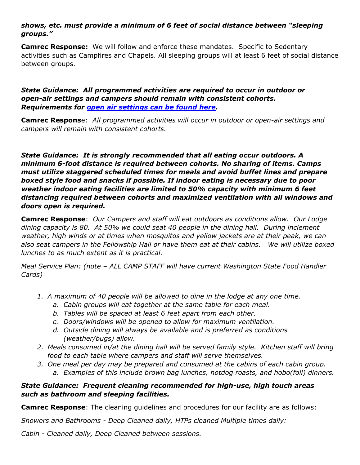## *shows, etc. must provide a minimum of 6 feet of social distance between "sleeping groups."*

**Camrec Response:** We will follow and enforce these mandates. Specific to Sedentary activities such as Campfires and Chapels. All sleeping groups will at least 6 feet of social distance between groups.

#### *State Guidance: All programmed activities are required to occur in outdoor or open-air settings and campers should remain with consistent cohorts. Requirements for [open air settings can be found here.](https://www.governor.wa.gov/sites/default/files/COVID19%20Outdoor%20Open%20Air%20Seating%20Guidance.pdf)*

**Camrec Respons**e: *All programmed activities will occur in outdoor or open-air settings and campers will remain with consistent cohorts.*

*State Guidance: It is strongly recommended that all eating occur outdoors. A minimum 6-foot distance is required between cohorts. No sharing of items. Camps must utilize staggered scheduled times for meals and avoid buffet lines and prepare boxed style food and snacks if possible. If indoor eating is necessary due to poor weather indoor eating facilities are limited to 50% capacity with minimum 6 feet distancing required between cohorts and maximized ventilation with all windows and doors open is required.*

**Camrec Response**: *Our Campers and staff will eat outdoors as conditions allow. Our Lodge dining capacity is 80. At 50% we could seat 40 people in the dining hall. During inclement weather, high winds or at times when mosquitos and yellow jackets are at their peak, we can also seat campers in the Fellowship Hall or have them eat at their cabins. We will utilize boxed lunches to as much extent as it is practical.* 

*Meal Service Plan: (note – ALL CAMP STAFF will have current Washington State Food Handler Cards)*

- *1. A maximum of 40 people will be allowed to dine in the lodge at any one time.* 
	- *a. Cabin groups will eat together at the same table for each meal.*
	- *b. Tables will be spaced at least 6 feet apart from each other.*
	- *c. Doors/windows will be opened to allow for maximum ventilation.*
	- *d. Outside dining will always be available and is preferred as conditions (weather/bugs) allow.*
- *2. Meals consumed in/at the dining hall will be served family style. Kitchen staff will bring food to each table where campers and staff will serve themselves.*
- *3. One meal per day may be prepared and consumed at the cabins of each cabin group.*
	- *a. Examples of this include brown bag lunches, hotdog roasts, and hobo(foil) dinners.*

## *State Guidance: Frequent cleaning recommended for high-use, high touch areas such as bathroom and sleeping facilities.*

**Camrec Response**: The cleaning guidelines and procedures for our facility are as follows:

*Showers and Bathrooms - Deep Cleaned daily, HTPs cleaned Multiple times daily:* 

*Cabin - Cleaned daily, Deep Cleaned between sessions.*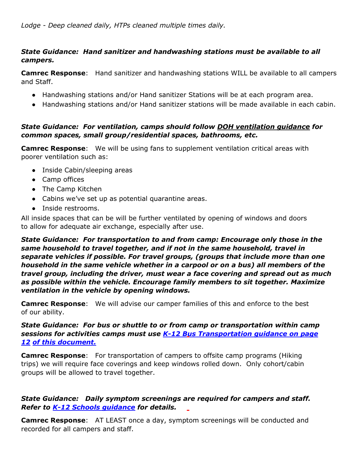## *State Guidance: Hand sanitizer and handwashing stations must be available to all campers.*

**Camrec Response**: Hand sanitizer and handwashing stations WILL be available to all campers and Staff.

- Handwashing stations and/or Hand sanitizer Stations will be at each program area.
- Handwashing stations and/or Hand sanitizer stations will be made available in each cabin.

## *State Guidance: For ventilation, camps should follow [DOH ventilation guidance](https://www.doh.wa.gov/Portals/1/Documents/1600/coronavirus/VentilationGuidance.pdf) for common spaces, small group/residential spaces, bathrooms, etc.*

**Camrec Response:** We will be using fans to supplement ventilation critical areas with poorer ventilation such as:

- Inside Cabin/sleeping areas
- Camp offices
- The Camp Kitchen
- Cabins we've set up as potential quarantine areas.
- Inside restrooms.

All inside spaces that can be will be further ventilated by opening of windows and doors to allow for adequate air exchange, especially after use.

*State Guidance: For transportation to and from camp: Encourage only those in the same household to travel together, and if not in the same household, travel in separate vehicles if possible. For travel groups, (groups that include more than one household in the same vehicle whether in a carpool or on a bus) all members of the travel group, including the driver, must wear a face covering and spread out as much as possible within the vehicle. Encourage family members to sit together. Maximize ventilation in the vehicle by opening windows.*

**Camrec Response**: We will advise our camper families of this and enforce to the best of our ability.

## *State Guidance: For bus or shuttle to or from camp or transportation within camp sessions for activities camps must use [K-12 Bus Transportation guidance on page](https://www.doh.wa.gov/Portals/1/Documents/1600/coronavirus/FallGuidanceK-12.pdf)  [12](https://www.doh.wa.gov/Portals/1/Documents/1600/coronavirus/FallGuidanceK-12.pdf) [of this document.](https://www.doh.wa.gov/Portals/1/Documents/1600/coronavirus/FallGuidanceK-12.pdf)*

**Camrec Response**: For transportation of campers to offsite camp programs (Hiking trips) we will require face coverings and keep windows rolled down. Only cohort/cabin groups will be allowed to travel together.

## *State Guidance: Daily symptom screenings are required for campers and staff. Refer to [K-12 Schools guidance](https://www.doh.wa.gov/Portals/1/Documents/1600/coronavirus/FallGuidanceK-12.pdf) [f](https://www.doh.wa.gov/Portals/1/Documents/1600/coronavirus/FallGuidanceK-12.pdf)or details.*

**Camrec Response**: AT LEAST once a day, symptom screenings will be conducted and recorded for all campers and staff.